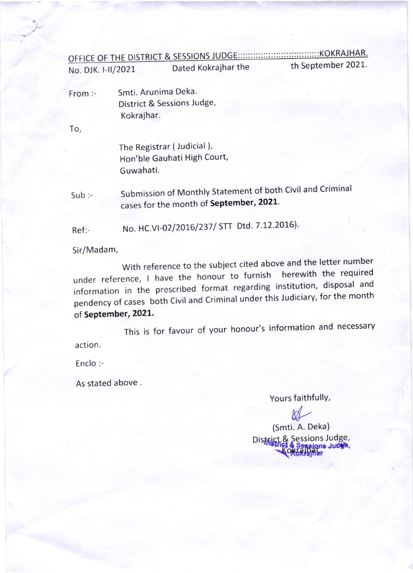## 

th September 2021. Dated Kokrajhar the No. DJK. I-II/2021

Smti. Arunima Deka. From:-District & Sessions Judge, Kokrajhar.

To,

The Registrar (Judicial), Hon'ble Gauhati High Court, Guwahati.

Submission of Monthly Statement of both Civil and Criminal  $Sub:$ cases for the month of September, 2021.

No. HC.VI-02/2016/237/ STT Dtd. 7.12.2016).  $Ref: -$ 

Sir/Madam,

With reference to the subject cited above and the letter number under reference, I have the honour to furnish herewith the required information in the prescribed format regarding institution, disposal and pendency of cases both Civil and Criminal under this Judiciary, for the month of September, 2021.

This is for favour of your honour's information and necessary action.

Enclo:-

As stated above.

Yours faithfully,

(Smti. A. Deka) District & Sessions Judge, **JUDE**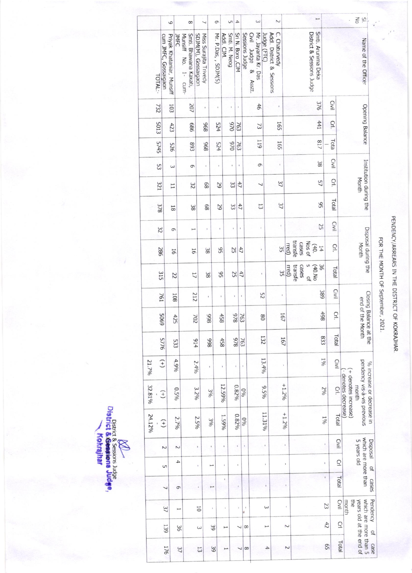|        |         |                      |                           |         |                        |                       |                     |                          |                      |              |                |                  |                   |                         |                     |             |                           |                |                                                                |         |       |                           | Η                  |      |       |                |                                                     |                                                          |
|--------|---------|----------------------|---------------------------|---------|------------------------|-----------------------|---------------------|--------------------------|----------------------|--------------|----------------|------------------|-------------------|-------------------------|---------------------|-------------|---------------------------|----------------|----------------------------------------------------------------|---------|-------|---------------------------|--------------------|------|-------|----------------|-----------------------------------------------------|----------------------------------------------------------|
|        |         |                      | 6                         |         |                        | 8                     |                     | $\overline{\phantom{0}}$ | 9                    |              | S              | $\rightarrow$    |                   |                         | $\omega$            |             |                           | $\sim$         |                                                                |         |       |                           |                    |      |       |                | $\overline{5}$ is                                   |                                                          |
|        | TOTAL:- | cum JMFC, Gossaigaon | Priyak Khataniar, Munsiff | JNFC    | Munsiff No.<br>1- cum- | Smti. Bhawana Kakati, | SDJM(M), Gossaigaon | Miss Surajita Trivedy    | Mr. P.Das, , SDJM(S) | Addl. CJM.   | Smti. M. Neog  | Sri N. Boro, CJM | Sessions<br>Judge | Civil Judge &<br>Asstt. | Mr. Jayanta Kr. Das | Judge (FTC) | Addl. District & Sessions | C. Chaturvedy  |                                                                |         |       | District & Sessions Judge | Smti. Arunima Deka |      |       |                |                                                     | Name of the Officer                                      |
|        | 732     |                      | 103                       |         |                        | 207                   |                     | ï                        | ì                    |              | ï              | ï                |                   |                         | 46                  |             |                           | í              |                                                                |         |       |                           |                    | 376  | Civil |                |                                                     |                                                          |
|        | 5013    |                      | 423                       |         |                        | 989                   |                     | 896                      | 524                  |              | 026            | 763              |                   |                         | 73                  |             |                           | 165            |                                                                |         |       |                           |                    | 441  | Crl.  |                |                                                     | Opening Balance                                          |
|        | 5745    |                      | 925                       |         |                        | 893                   |                     | 896                      | 524                  |              | 026            | 763              |                   |                         | <b>611</b>          |             |                           | 165            |                                                                |         |       |                           |                    | /18  | Tota  |                |                                                     |                                                          |
|        | 53      |                      | $\epsilon$                |         |                        | 9                     |                     |                          | ï                    |              |                | $\mathbf{I}$     |                   |                         | 9                   |             |                           | $\mathbf i$    |                                                                |         |       |                           |                    | 38   | Civil |                |                                                     |                                                          |
|        | 321     |                      | $\overline{1}$            |         |                        | $\approx$             |                     | 89                       |                      | 29           | 33             | 47               |                   |                         | ┙                   |             |                           | 37             |                                                                |         |       |                           |                    | 57   | Ğ.    |                | Month                                               | Institution during the                                   |
|        | 378     |                      | $\overline{81}$           |         |                        | 38                    |                     | 89                       |                      | 29           | 33             | 47               |                   |                         | 13                  |             |                           | 37             |                                                                |         |       |                           |                    | 95   | Total |                |                                                     |                                                          |
|        | 32      |                      | 9                         |         |                        | خسو                   |                     |                          |                      | ï            | $\mathfrak{g}$ | $\mathbf i$      |                   |                         | ï                   |             |                           | $\mathbf{r}$   |                                                                |         |       |                           |                    | 25   | Civil |                |                                                     |                                                          |
|        | 286     |                      | 16                        |         |                        | 9Ī                    |                     | 38                       |                      | 95           | 25             | 47               |                   |                         |                     |             |                           | 35             | rred)                                                          | transfe | cases | Nos of                    | (40)               | 14   | Crl.  |                | Month                                               | Disposal during the                                      |
|        | 315     |                      | 22                        |         |                        | 17                    |                     | 38                       |                      | 95           | 25             |                  | 47                |                         |                     |             |                           | 35             | rred)                                                          | transfe | cases | S<br>$\frac{1}{2}$        | (40. N)            | 36   | Total |                |                                                     |                                                          |
|        | 761     |                      | 108                       |         |                        | 212                   |                     | ł,                       |                      | $\,$         |                | $\,$             | $\mathbf t$       |                         | 52                  |             |                           | $\mathfrak{g}$ |                                                                |         |       |                           |                    | 389  |       | Civil          |                                                     |                                                          |
|        | 6905    |                      | 425                       |         |                        | 702                   |                     | 866                      |                      | 458          |                | 846              | 763               |                         |                     | 80          |                           | 16             |                                                                |         |       |                           |                    | 86\$ |       | Crl.           |                                                     | Closing Balance at the<br>end of the Month               |
|        | 5776    |                      | 533                       |         |                        |                       | 614                 | 866                      |                      | 458          |                | 826              | 763               |                         |                     | 132         |                           | 167            |                                                                |         |       |                           |                    | 833  |       | Total          |                                                     |                                                          |
| 21.7%  | $(+)$   |                      | 4.9%                      |         |                        |                       | 2.4%                | $\mathbf{r}$             |                      | ï            |                |                  | $\mathfrak{t}$    |                         |                     | 13.4%       |                           |                |                                                                |         |       |                           |                    | 190  |       | Civil          |                                                     |                                                          |
| 32.81% |         | $^{(+)}$             |                           | $0.5\%$ |                        |                       | 3.2%                |                          | 3%                   | 12.59%       |                | $0.82\%$         | 0 <sub>60</sub>   |                         |                     | $9.5\%$     |                           | $+1.2%$        |                                                                |         |       |                           |                    | 206  |       | $\overline{C}$ | + denotes increase)<br>- denotes decrease)<br>month |                                                          |
| 24.12% |         | $^{(+)}$             |                           | 2.7%    |                        |                       | 2.5%                |                          | 306                  | 1.59%        |                | $0.82\%$         | 0 <sub>60</sub>   |                         |                     | 11.31%      |                           |                | $+1.2%$                                                        |         |       |                           |                    | 190  |       | Total          |                                                     | pendency vis-à-vis previous<br>% increase or decrease in |
|        |         | $\sim$               |                           | Z       |                        |                       |                     |                          |                      |              |                | ï                | ï                 |                         |                     |             |                           |                | $\begin{array}{c} \rule{0mm}{2mm} \rule{0mm}{2mm} \end{array}$ |         |       |                           |                    |      |       | Civil          |                                                     | proceal                                                  |
|        |         | G                    |                           | 4       |                        |                       | ï                   |                          |                      | $\mathbf{I}$ |                |                  |                   |                         |                     | ï           |                           |                | $\begin{array}{c} \rule{0.2cm}{0.15cm} \end{array}$            |         |       |                           |                    | ï    |       | $\overline{C}$ | 5 years old                                         | which are more than<br>q                                 |
|        |         |                      |                           | 9       |                        |                       | ı                   |                          |                      | ï            |                |                  |                   |                         |                     |             |                           |                | ×                                                              |         |       |                           |                    | ï    |       | Total          |                                                     | cases                                                    |
|        |         | 37                   |                           |         |                        |                       | öÏ                  |                          | ï                    | ï            |                |                  | ï                 |                         |                     | ω           |                           |                |                                                                |         |       |                           |                    |      | 23    | Civil          | month<br>the                                        | Pendency                                                 |
|        |         | 139                  |                           | 36      |                        |                       | $\omega$            |                          | 39                   | مسر          |                |                  | 8                 |                         |                     | مبر         |                           |                | $\sim$                                                         |         |       |                           |                    |      | 42    | Ğ              |                                                     | $\overline{a}$                                           |
|        |         | 176                  |                           | 37      |                        |                       | 53                  |                          | 39                   |              |                | ┙                | 8                 |                         |                     | 4           |                           |                | 2                                                              |         |       |                           |                    |      | 65    | Total          | years old at the end of                             | which are more than 5<br>case                            |

**MARRIELE SESSIONS JUGE<br>District & Receptions Judge,<br>Cokrajihar** 

## PENDENCY/ARREARS IN THE DISTRICT OF KOKRAJHAR.

FOR THE MONTH OF September, 2021.